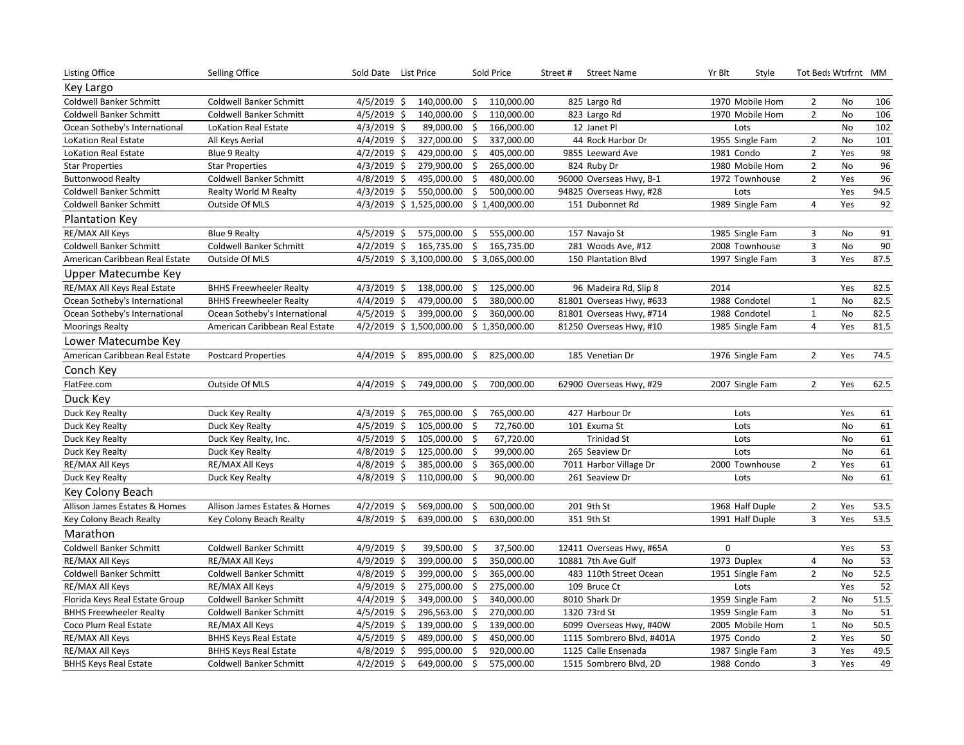| Listing Office                 | Selling Office                 | Sold Date List Price         |                  | Sold Price     | Street #<br><b>Street Name</b> | Yr Blt<br>Style | Tot Beds Wtrfrnt MM |           |      |
|--------------------------------|--------------------------------|------------------------------|------------------|----------------|--------------------------------|-----------------|---------------------|-----------|------|
| Key Largo                      |                                |                              |                  |                |                                |                 |                     |           |      |
| Coldwell Banker Schmitt        | Coldwell Banker Schmitt        | $4/5/2019$ \$                | 140,000.00<br>\$ | 110,000.00     | 825 Largo Rd                   | 1970 Mobile Hom | $\overline{2}$      | No        | 106  |
| Coldwell Banker Schmitt        | Coldwell Banker Schmitt        | $4/5/2019$ \$                | 140,000.00<br>\$ | 110,000.00     | 823 Largo Rd                   | 1970 Mobile Hom | $\overline{2}$      | No        | 106  |
| Ocean Sotheby's International  | <b>LoKation Real Estate</b>    | $4/3/2019$ \$                | 89,000.00<br>\$  | 166,000.00     | 12 Janet Pl                    | Lots            |                     | <b>No</b> | 102  |
| <b>LoKation Real Estate</b>    | All Keys Aerial                | $4/4/2019$ \$                | \$<br>327,000.00 | 337,000.00     | 44 Rock Harbor Dr              | 1955 Single Fam | $\overline{2}$      | No        | 101  |
| <b>LoKation Real Estate</b>    | <b>Blue 9 Realty</b>           | $4/2/2019$ \$                | 429,000.00<br>Ś. | 405,000.00     | 9855 Leeward Ave               | 1981 Condo      | $\overline{2}$      | Yes       | 98   |
| <b>Star Properties</b>         | <b>Star Properties</b>         | $4/3/2019$ \$                | 279,900.00<br>\$ | 265,000.00     | 824 Ruby Dr                    | 1980 Mobile Hom | $\overline{2}$      | No        | 96   |
| <b>Buttonwood Realty</b>       | Coldwell Banker Schmitt        | $4/8/2019$ \$                | 495,000.00<br>\$ | 480,000.00     | 96000 Overseas Hwy, B-1        | 1972 Townhouse  | $\overline{2}$      | Yes       | 96   |
| <b>Coldwell Banker Schmitt</b> | Realty World M Realty          | $\frac{4}{3}/\frac{2019}{5}$ | \$<br>550,000.00 | 500,000.00     | 94825 Overseas Hwy, #28        | Lots            |                     | Yes       | 94.5 |
| Coldwell Banker Schmitt        | Outside Of MLS                 | 4/3/2019 \$1,525,000.00      |                  | \$1,400,000.00 | 151 Dubonnet Rd                | 1989 Single Fam | $\overline{4}$      | Yes       | 92   |
| <b>Plantation Key</b>          |                                |                              |                  |                |                                |                 |                     |           |      |
| RE/MAX All Keys                | Blue 9 Realty                  | $4/5/2019$ \$                | 575,000.00<br>\$ | 555,000.00     | 157 Navajo St                  | 1985 Single Fam | 3                   | No        | 91   |
| <b>Coldwell Banker Schmitt</b> | Coldwell Banker Schmitt        | 4/2/2019<br>\$               | 165,735.00<br>\$ | 165,735.00     | 281 Woods Ave, #12             | 2008 Townhouse  | 3                   | No        | 90   |
| American Caribbean Real Estate | Outside Of MLS                 | 4/5/2019 \$3,100,000.00      |                  | \$3,065,000.00 | 150 Plantation Blvd            | 1997 Single Fam | $\overline{3}$      | Yes       | 87.5 |
| Upper Matecumbe Key            |                                |                              |                  |                |                                |                 |                     |           |      |
| RE/MAX All Keys Real Estate    | <b>BHHS Freewheeler Realty</b> | $4/3/2019$ \$                | 138,000.00<br>\$ | 125,000.00     | 96 Madeira Rd, Slip 8          | 2014            |                     | Yes       | 82.5 |
| Ocean Sotheby's International  | <b>BHHS Freewheeler Realty</b> | $4/4/2019$ \$                | \$<br>479,000.00 | 380,000.00     | 81801 Overseas Hwy, #633       | 1988 Condotel   | 1                   | No        | 82.5 |
| Ocean Sotheby's International  | Ocean Sotheby's International  | 4/5/2019<br>\$               | 399,000.00<br>\$ | 360,000.00     | 81801 Overseas Hwy, #714       | 1988 Condotel   | $\mathbf 1$         | No        | 82.5 |
| <b>Moorings Realty</b>         | American Caribbean Real Estate | 4/2/2019 \$ 1,500,000.00     |                  | \$1,350,000.00 | 81250 Overseas Hwy, #10        | 1985 Single Fam | $\overline{4}$      | Yes       | 81.5 |
| Lower Matecumbe Key            |                                |                              |                  |                |                                |                 |                     |           |      |
| American Caribbean Real Estate | <b>Postcard Properties</b>     | 4/4/2019<br>-\$              | 895,000.00<br>S. | 825,000.00     | 185 Venetian Dr                | 1976 Single Fam | $\overline{2}$      | Yes       | 74.5 |
| Conch Key                      |                                |                              |                  |                |                                |                 |                     |           |      |
| FlatFee.com                    | Outside Of MLS                 | $4/4/2019$ \$                | 749,000.00 \$    | 700,000.00     | 62900 Overseas Hwy, #29        | 2007 Single Fam | $\overline{2}$      | Yes       | 62.5 |
| Duck Key                       |                                |                              |                  |                |                                |                 |                     |           |      |
| Duck Key Realty                | Duck Key Realty                | 4/3/2019 \$                  | 765,000.00<br>\$ | 765,000.00     | 427 Harbour Dr                 | Lots            |                     | Yes       | 61   |
| Duck Key Realty                | Duck Key Realty                | $4/5/2019$ \$                | 105,000.00<br>\$ | 72,760.00      | 101 Exuma St                   | Lots            |                     | No        | 61   |
| Duck Key Realty                | Duck Key Realty, Inc.          | $4/5/2019$ \$                | \$<br>105,000.00 | 67,720.00      | <b>Trinidad St</b>             | Lots            |                     | No        | 61   |
| Duck Key Realty                | Duck Key Realty                | $4/8/2019$ \$                | 125,000.00<br>\$ | 99,000.00      | 265 Seaview Dr                 | Lots            |                     | <b>No</b> | 61   |
| RE/MAX All Keys                | RE/MAX All Keys                | $4/8/2019$ \$                | \$<br>385,000.00 | 365,000.00     | 7011 Harbor Village Dr         | 2000 Townhouse  | $\overline{2}$      | Yes       | 61   |
| Duck Key Realty                | Duck Key Realty                | $4/8/2019$ \$                | 110,000.00<br>\$ | 90,000.00      | 261 Seaview Dr                 | Lots            |                     | No        | 61   |
| Key Colony Beach               |                                |                              |                  |                |                                |                 |                     |           |      |
| Allison James Estates & Homes  | Allison James Estates & Homes  | $4/2/2019$ \$                | 569,000.00<br>\$ | 500,000.00     | 201 9th St                     | 1968 Half Duple | $\overline{2}$      | Yes       | 53.5 |
| Key Colony Beach Realty        | Key Colony Beach Realty        | $4/8/2019$ \$                | 639,000.00<br>Ś. | 630,000.00     | 351 9th St                     | 1991 Half Duple | 3                   | Yes       | 53.5 |
| Marathon                       |                                |                              |                  |                |                                |                 |                     |           |      |
| <b>Coldwell Banker Schmitt</b> | Coldwell Banker Schmitt        | 4/9/2019 \$                  | 39,500.00<br>\$  | 37,500.00      | 12411 Overseas Hwy, #65A       | $\mathbf 0$     |                     | Yes       | 53   |
| RE/MAX All Keys                | RE/MAX All Keys                | 4/9/2019 \$                  | 399,000.00<br>\$ | 350,000.00     | 10881 7th Ave Gulf             | 1973 Duplex     | $\overline{4}$      | No        | 53   |
| Coldwell Banker Schmitt        | Coldwell Banker Schmitt        | $4/8/2019$ \$                | 399,000.00<br>\$ | 365,000.00     | 483 110th Street Ocean         | 1951 Single Fam | $\overline{2}$      | No        | 52.5 |
| RE/MAX All Keys                | RE/MAX All Keys                | $4/9/2019$ \$                | \$<br>275,000.00 | 275,000.00     | 109 Bruce Ct                   | Lots            |                     | Yes       | 52   |
| Florida Keys Real Estate Group | Coldwell Banker Schmitt        | $4/4/2019$ \$                | 349,000.00<br>\$ | 340,000.00     | 8010 Shark Dr                  | 1959 Single Fam | $\overline{2}$      | No        | 51.5 |
| <b>BHHS Freewheeler Realty</b> | Coldwell Banker Schmitt        | $4/5/2019$ \$                | 296,563.00<br>Ś. | 270,000.00     | 1320 73rd St                   | 1959 Single Fam | 3                   | <b>No</b> | 51   |
| Coco Plum Real Estate          | RE/MAX All Keys                | $4/5/2019$ \$                | 139,000.00<br>\$ | 139,000.00     | 6099 Overseas Hwy, #40W        | 2005 Mobile Hom | $\mathbf 1$         | No        | 50.5 |
| RE/MAX All Keys                | <b>BHHS Keys Real Estate</b>   | $4/5/2019$ \$                | 489,000.00<br>\$ | 450,000.00     | 1115 Sombrero Blvd, #401A      | 1975 Condo      | $\overline{2}$      | Yes       | 50   |
| RE/MAX All Keys                | <b>BHHS Keys Real Estate</b>   | $4/8/2019$ \$                | \$<br>995,000.00 | 920,000.00     | 1125 Calle Ensenada            | 1987 Single Fam | 3                   | Yes       | 49.5 |
| <b>BHHS Keys Real Estate</b>   | Coldwell Banker Schmitt        | $4/2/2019$ \$                | \$<br>649,000.00 | 575,000.00     | 1515 Sombrero Blvd, 2D         | 1988 Condo      | $\overline{3}$      | Yes       | 49   |